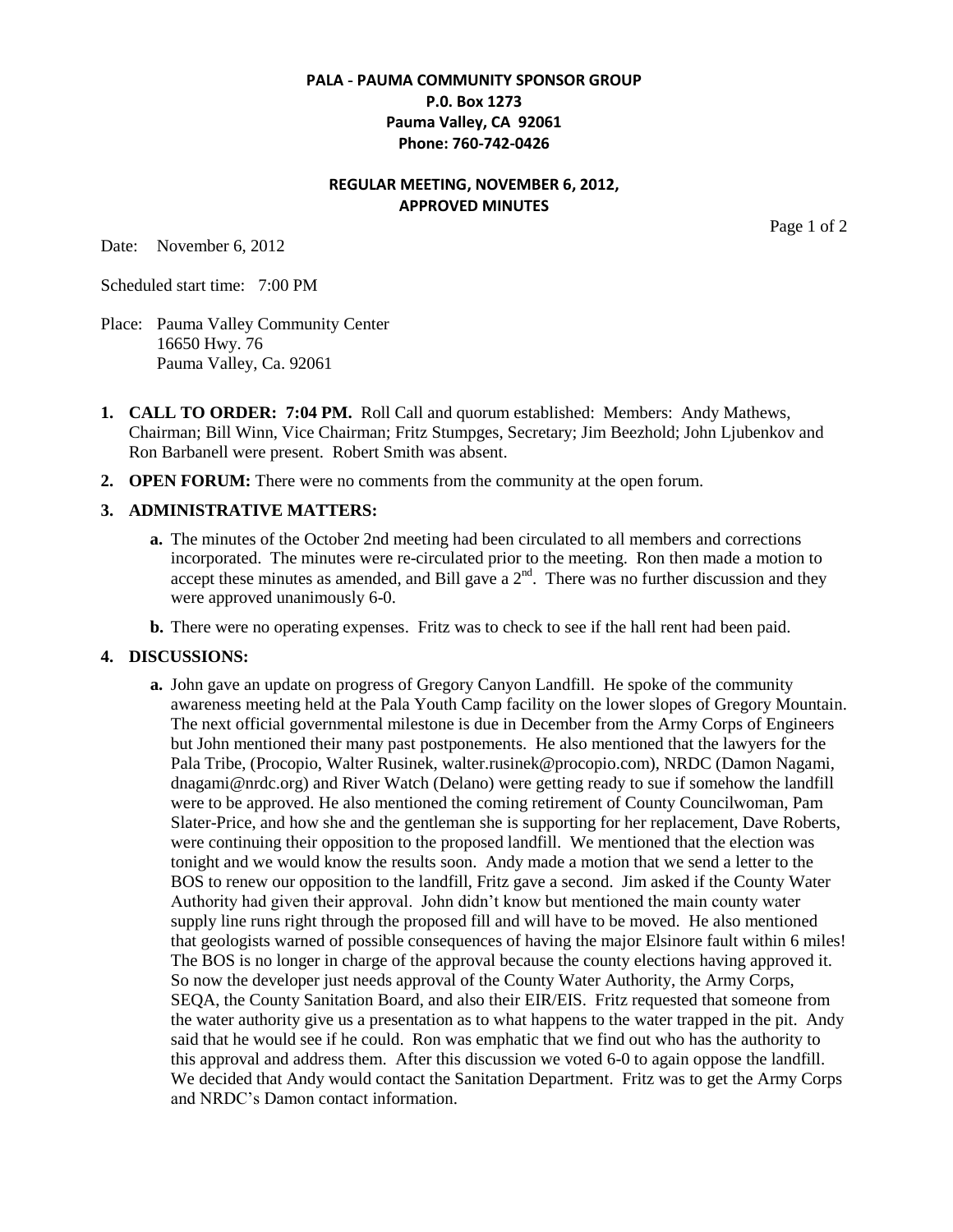### **PALA - PAUMA COMMUNITY SPONSOR GROUP P.0. Box 1273 Pauma Valley, CA 92061 Phone: 760-742-0426**

# **REGULAR MEETING, NOVEMBER 6, 2012, APPROVED MINUTES**

Date: November 6, 2012

Page 1 of 2

Scheduled start time: 7:00 PM

- Place: Pauma Valley Community Center 16650 Hwy. 76 Pauma Valley, Ca. 92061
- **1. CALL TO ORDER: 7:04 PM.** Roll Call and quorum established: Members: Andy Mathews, Chairman; Bill Winn, Vice Chairman; Fritz Stumpges, Secretary; Jim Beezhold; John Ljubenkov and Ron Barbanell were present. Robert Smith was absent.
- **2. OPEN FORUM:** There were no comments from the community at the open forum.

### **3. ADMINISTRATIVE MATTERS:**

- **a.** The minutes of the October 2nd meeting had been circulated to all members and corrections incorporated. The minutes were re-circulated prior to the meeting. Ron then made a motion to accept these minutes as amended, and Bill gave a  $2<sup>nd</sup>$ . There was no further discussion and they were approved unanimously 6-0.
- **b.** There were no operating expenses. Fritz was to check to see if the hall rent had been paid.

#### **4. DISCUSSIONS:**

**a.** John gave an update on progress of Gregory Canyon Landfill. He spoke of the community awareness meeting held at the Pala Youth Camp facility on the lower slopes of Gregory Mountain. The next official governmental milestone is due in December from the Army Corps of Engineers but John mentioned their many past postponements. He also mentioned that the lawyers for the Pala Tribe, (Procopio, Walter Rusinek, walter.rusinek@procopio.com), NRDC (Damon Nagami, dnagami@nrdc.org) and River Watch (Delano) were getting ready to sue if somehow the landfill were to be approved. He also mentioned the coming retirement of County Councilwoman, Pam Slater-Price, and how she and the gentleman she is supporting for her replacement, Dave Roberts, were continuing their opposition to the proposed landfill. We mentioned that the election was tonight and we would know the results soon. Andy made a motion that we send a letter to the BOS to renew our opposition to the landfill, Fritz gave a second. Jim asked if the County Water Authority had given their approval. John didn't know but mentioned the main county water supply line runs right through the proposed fill and will have to be moved. He also mentioned that geologists warned of possible consequences of having the major Elsinore fault within 6 miles! The BOS is no longer in charge of the approval because the county elections having approved it. So now the developer just needs approval of the County Water Authority, the Army Corps, SEQA, the County Sanitation Board, and also their EIR/EIS. Fritz requested that someone from the water authority give us a presentation as to what happens to the water trapped in the pit. Andy said that he would see if he could. Ron was emphatic that we find out who has the authority to this approval and address them. After this discussion we voted 6-0 to again oppose the landfill. We decided that Andy would contact the Sanitation Department. Fritz was to get the Army Corps and NRDC's Damon contact information.